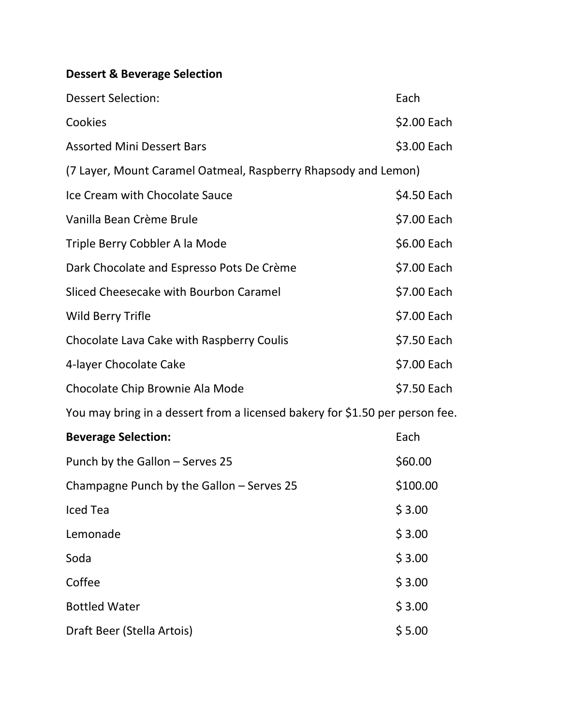## **Dessert & Beverage Selection**

| <b>Dessert Selection:</b>                                                    | Each        |  |
|------------------------------------------------------------------------------|-------------|--|
| Cookies                                                                      | \$2.00 Each |  |
| <b>Assorted Mini Dessert Bars</b>                                            | \$3.00 Each |  |
| (7 Layer, Mount Caramel Oatmeal, Raspberry Rhapsody and Lemon)               |             |  |
| Ice Cream with Chocolate Sauce                                               | \$4.50 Each |  |
| Vanilla Bean Crème Brule                                                     | \$7.00 Each |  |
| Triple Berry Cobbler A la Mode                                               | \$6.00 Each |  |
| Dark Chocolate and Espresso Pots De Crème                                    | \$7.00 Each |  |
| Sliced Cheesecake with Bourbon Caramel                                       | \$7.00 Each |  |
| <b>Wild Berry Trifle</b>                                                     | \$7.00 Each |  |
| Chocolate Lava Cake with Raspberry Coulis                                    | \$7.50 Each |  |
| 4-layer Chocolate Cake                                                       | \$7.00 Each |  |
| Chocolate Chip Brownie Ala Mode                                              | \$7.50 Each |  |
| You may bring in a dessert from a licensed bakery for \$1.50 per person fee. |             |  |
| <b>Beverage Selection:</b>                                                   | Each        |  |
| Punch by the Gallon - Serves 25                                              | \$60.00     |  |
| Champagne Punch by the Gallon - Serves 25                                    | \$100.00    |  |

| Champagne Punch by the Gallon – Serves 25 | \$100.0 |
|-------------------------------------------|---------|
| Iced Tea                                  | \$3.00  |
| Lemonade                                  | \$3.00  |
| Soda                                      | \$3.00  |
| Coffee                                    | \$3.00  |
| <b>Bottled Water</b>                      | \$3.00  |
| Draft Beer (Stella Artois)                | \$5.00  |